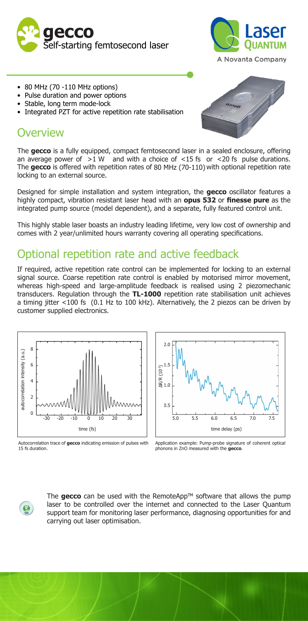



- 80 MHz (70 -110 MHz options)
- Pulse duration and power options
- Stable, long term mode-lock
- Integrated PZT for active repetition rate stabilisation

### **Overview**



an average power of  $>1$  W and with a choice of  $<15$  fs or  $<20$  fs pulse durations. The **gecco** is offered with repetition rates of 80 MHz (70-110) with optional repetition rate locking to an external source.

Designed for simple installation and system integration, the **gecco** oscillator features a highly compact, vibration resistant laser head with an **opus 532** or **finesse pure** as the integrated pump source (model dependent), and a separate, fully featured control unit.

This highly stable laser boasts an industry leading lifetime, very low cost of ownership and comes with 2 year/unlimited hours warranty covering all operating specifications.

## Optional repetition rate and active feedback

If required, active repetition rate control can be implemented for locking to an external signal source. Coarse repetition rate control is enabled by motorised mirror movement, whereas high-speed and large-amplitude feedback is realised using 2 piezomechanic transducers. Regulation through the **TL-1000** repetition rate stabilisation unit achieves a timing jitter <100 fs (0.1 Hz to 100 kHz). Alternatively, the 2 piezos can be driven by customer supplied electronics.



Autocorrelation trace of **gecco** indicating emission of pulses with 15 fs duration.



Application example: Pump-probe signature of coherent optical phonons in ZnO measured with the **gecco**.

 $\odot$ 

The **gecco** can be used with the RemoteApp™ software that allows the pump laser to be controlled over the internet and connected to the Laser Quantum support team for monitoring laser performance, diagnosing opportunities for and carrying out laser optimisation.